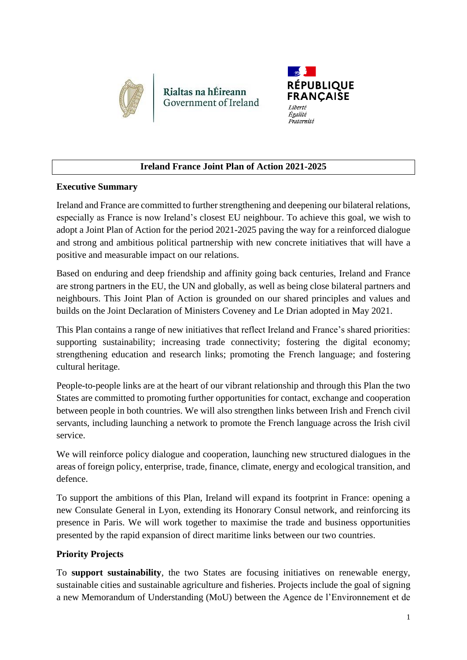

Rialtas na hÉireann Government of Ireland



# **Ireland France Joint Plan of Action 2021-2025**

## **Executive Summary**

Ireland and France are committed to further strengthening and deepening our bilateral relations, especially as France is now Ireland's closest EU neighbour. To achieve this goal, we wish to adopt a Joint Plan of Action for the period 2021-2025 paving the way for a reinforced dialogue and strong and ambitious political partnership with new concrete initiatives that will have a positive and measurable impact on our relations.

Based on enduring and deep friendship and affinity going back centuries, Ireland and France are strong partners in the EU, the UN and globally, as well as being close bilateral partners and neighbours. This Joint Plan of Action is grounded on our shared principles and values and builds on the Joint Declaration of Ministers Coveney and Le Drian adopted in May 2021.

This Plan contains a range of new initiatives that reflect Ireland and France's shared priorities: supporting sustainability; increasing trade connectivity; fostering the digital economy; strengthening education and research links; promoting the French language; and fostering cultural heritage.

People-to-people links are at the heart of our vibrant relationship and through this Plan the two States are committed to promoting further opportunities for contact, exchange and cooperation between people in both countries. We will also strengthen links between Irish and French civil servants, including launching a network to promote the French language across the Irish civil service.

We will reinforce policy dialogue and cooperation, launching new structured dialogues in the areas of foreign policy, enterprise, trade, finance, climate, energy and ecological transition, and defence.

To support the ambitions of this Plan, Ireland will expand its footprint in France: opening a new Consulate General in Lyon, extending its Honorary Consul network, and reinforcing its presence in Paris. We will work together to maximise the trade and business opportunities presented by the rapid expansion of direct maritime links between our two countries.

### **Priority Projects**

To **support sustainability**, the two States are focusing initiatives on renewable energy, sustainable cities and sustainable agriculture and fisheries. Projects include the goal of signing a new Memorandum of Understanding (MoU) between the Agence de l'Environnement et de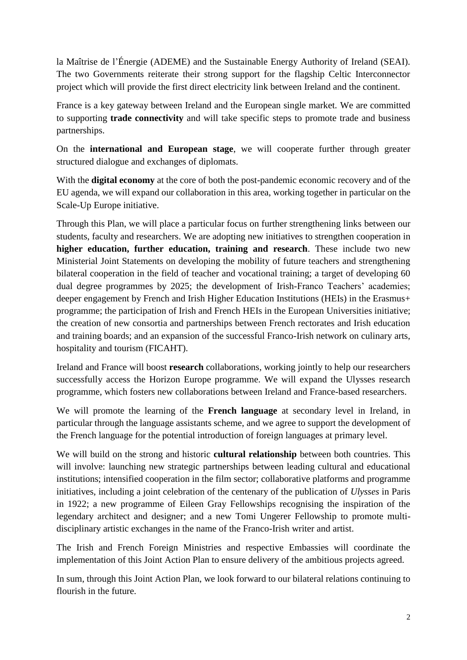la Maîtrise de l'Énergie (ADEME) and the Sustainable Energy Authority of Ireland (SEAI). The two Governments reiterate their strong support for the flagship Celtic Interconnector project which will provide the first direct electricity link between Ireland and the continent.

France is a key gateway between Ireland and the European single market. We are committed to supporting **trade connectivity** and will take specific steps to promote trade and business partnerships.

On the **international and European stage**, we will cooperate further through greater structured dialogue and exchanges of diplomats.

With the **digital economy** at the core of both the post-pandemic economic recovery and of the EU agenda, we will expand our collaboration in this area, working together in particular on the Scale-Up Europe initiative.

Through this Plan, we will place a particular focus on further strengthening links between our students, faculty and researchers. We are adopting new initiatives to strengthen cooperation in **higher education, further education, training and research**. These include two new Ministerial Joint Statements on developing the mobility of future teachers and strengthening bilateral cooperation in the field of teacher and vocational training; a target of developing 60 dual degree programmes by 2025; the development of Irish-Franco Teachers' academies; deeper engagement by French and Irish Higher Education Institutions (HEIs) in the Erasmus+ programme; the participation of Irish and French HEIs in the European Universities initiative; the creation of new consortia and partnerships between French rectorates and Irish education and training boards; and an expansion of the successful Franco-Irish network on culinary arts, hospitality and tourism (FICAHT).

Ireland and France will boost **research** collaborations, working jointly to help our researchers successfully access the Horizon Europe programme. We will expand the Ulysses research programme, which fosters new collaborations between Ireland and France-based researchers.

We will promote the learning of the **French language** at secondary level in Ireland, in particular through the language assistants scheme, and we agree to support the development of the French language for the potential introduction of foreign languages at primary level.

We will build on the strong and historic **cultural relationship** between both countries. This will involve: launching new strategic partnerships between leading cultural and educational institutions; intensified cooperation in the film sector; collaborative platforms and programme initiatives, including a joint celebration of the centenary of the publication of *Ulysses* in Paris in 1922; a new programme of Eileen Gray Fellowships recognising the inspiration of the legendary architect and designer; and a new Tomi Ungerer Fellowship to promote multidisciplinary artistic exchanges in the name of the Franco-Irish writer and artist.

The Irish and French Foreign Ministries and respective Embassies will coordinate the implementation of this Joint Action Plan to ensure delivery of the ambitious projects agreed.

In sum, through this Joint Action Plan, we look forward to our bilateral relations continuing to flourish in the future.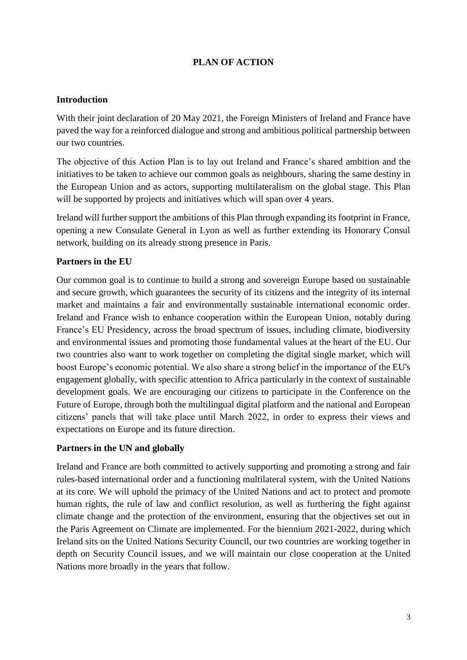## **PLAN OF ACTION**

#### **Introduction**

With their joint declaration of 20 May 2021, the Foreign Ministers of Ireland and France have paved the way for a reinforced dialogue and strong and ambitious political partnership between our two countries.

The objective of this Action Plan is to lay out Ireland and France's shared ambition and the initiatives to be taken to achieve our common goals as neighbours, sharing the same destiny in the European Union and as actors, supporting multilateralism on the global stage. This Plan will be supported by projects and initiatives which will span over 4 years.

Ireland will further support the ambitions of this Plan through expanding its footprint in France, opening a new Consulate General in Lyon as well as further extending its Honorary Consul network, building on its already strong presence in Paris.

#### **Partners in the EU**

Our common goal is to continue to build a strong and sovereign Europe based on sustainable and secure growth, which guarantees the security of its citizens and the integrity of its internal market and maintains a fair and environmentally sustainable international economic order. Ireland and France wish to enhance cooperation within the European Union, notably during France's EU Presidency, across the broad spectrum of issues, including climate, biodiversity and environmental issues and promoting those fundamental values at the heart of the EU. Our two countries also want to work together on completing the digital single market, which will boost Europe's economic potential. We also share a strong belief in the importance of the EU's engagement globally, with specific attention to Africa particularly in the context of sustainable development goals. We are encouraging our citizens to participate in the Conference on the Future of Europe, through both the multilingual digital platform and the national and European citizens' panels that will take place until March 2022, in order to express their views and expectations on Europe and its future direction.

#### **Partners in the UN and globally**

Ireland and France are both committed to actively supporting and promoting a strong and fair rules-based international order and a functioning multilateral system, with the United Nations at its core. We will uphold the primacy of the United Nations and act to protect and promote human rights, the rule of law and conflict resolution, as well as furthering the fight against climate change and the protection of the environment, ensuring that the objectives set out in the Paris Agreement on Climate are implemented. For the biennium 2021-2022, during which Ireland sits on the United Nations Security Council, our two countries are working together in depth on Security Council issues, and we will maintain our close cooperation at the United Nations more broadly in the years that follow.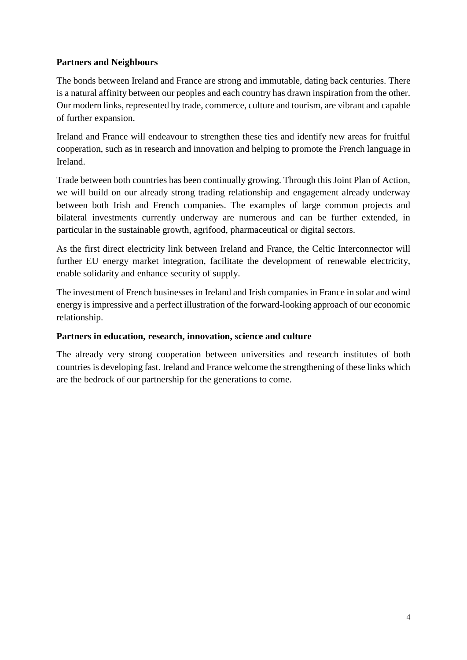### **Partners and Neighbours**

The bonds between Ireland and France are strong and immutable, dating back centuries. There is a natural affinity between our peoples and each country has drawn inspiration from the other. Our modern links, represented by trade, commerce, culture and tourism, are vibrant and capable of further expansion.

Ireland and France will endeavour to strengthen these ties and identify new areas for fruitful cooperation, such as in research and innovation and helping to promote the French language in Ireland.

Trade between both countries has been continually growing. Through this Joint Plan of Action, we will build on our already strong trading relationship and engagement already underway between both Irish and French companies. The examples of large common projects and bilateral investments currently underway are numerous and can be further extended, in particular in the sustainable growth, agrifood, pharmaceutical or digital sectors.

As the first direct electricity link between Ireland and France, the Celtic Interconnector will further EU energy market integration, facilitate the development of renewable electricity, enable solidarity and enhance security of supply.

The investment of French businesses in Ireland and Irish companies in France in solar and wind energy is impressive and a perfect illustration of the forward-looking approach of our economic relationship.

#### **Partners in education, research, innovation, science and culture**

The already very strong cooperation between universities and research institutes of both countries is developing fast. Ireland and France welcome the strengthening of these links which are the bedrock of our partnership for the generations to come.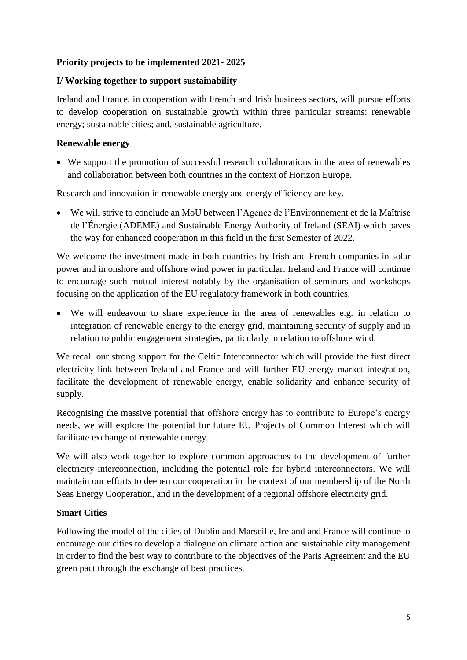### **Priority projects to be implemented 2021- 2025**

#### **I/ Working together to support sustainability**

Ireland and France, in cooperation with French and Irish business sectors, will pursue efforts to develop cooperation on sustainable growth within three particular streams: renewable energy; sustainable cities; and, sustainable agriculture.

#### **Renewable energy**

 We support the promotion of successful research collaborations in the area of renewables and collaboration between both countries in the context of Horizon Europe.

Research and innovation in renewable energy and energy efficiency are key.

 We will strive to conclude an MoU between l'Agence de l'Environnement et de la Maîtrise de l'Énergie (ADEME) and Sustainable Energy Authority of Ireland (SEAI) which paves the way for enhanced cooperation in this field in the first Semester of 2022.

We welcome the investment made in both countries by Irish and French companies in solar power and in onshore and offshore wind power in particular. Ireland and France will continue to encourage such mutual interest notably by the organisation of seminars and workshops focusing on the application of the EU regulatory framework in both countries.

 We will endeavour to share experience in the area of renewables e.g. in relation to integration of renewable energy to the energy grid, maintaining security of supply and in relation to public engagement strategies, particularly in relation to offshore wind.

We recall our strong support for the Celtic Interconnector which will provide the first direct electricity link between Ireland and France and will further EU energy market integration, facilitate the development of renewable energy, enable solidarity and enhance security of supply.

Recognising the massive potential that offshore energy has to contribute to Europe's energy needs, we will explore the potential for future EU Projects of Common Interest which will facilitate exchange of renewable energy.

We will also work together to explore common approaches to the development of further electricity interconnection, including the potential role for hybrid interconnectors. We will maintain our efforts to deepen our cooperation in the context of our membership of the North Seas Energy Cooperation, and in the development of a regional offshore electricity grid.

#### **Smart Cities**

Following the model of the cities of Dublin and Marseille, Ireland and France will continue to encourage our cities to develop a dialogue on climate action and sustainable city management in order to find the best way to contribute to the objectives of the Paris Agreement and the EU green pact through the exchange of best practices.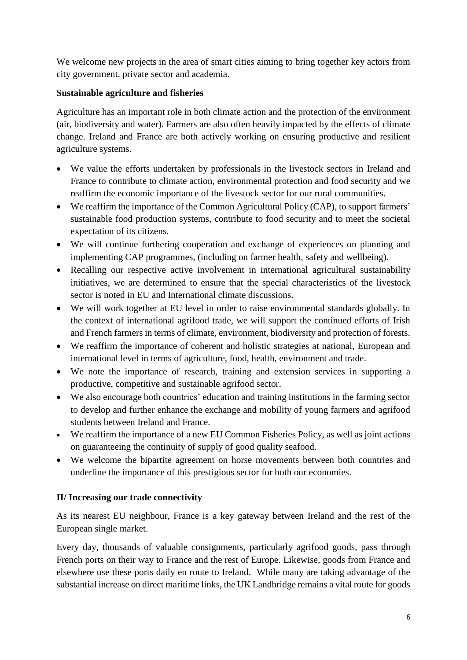We welcome new projects in the area of smart cities aiming to bring together key actors from city government, private sector and academia.

### **Sustainable agriculture and fisheries**

Agriculture has an important role in both climate action and the protection of the environment (air, biodiversity and water). Farmers are also often heavily impacted by the effects of climate change. Ireland and France are both actively working on ensuring productive and resilient agriculture systems.

- We value the efforts undertaken by professionals in the livestock sectors in Ireland and France to contribute to climate action, environmental protection and food security and we reaffirm the economic importance of the livestock sector for our rural communities.
- We reaffirm the importance of the Common Agricultural Policy (CAP), to support farmers' sustainable food production systems, contribute to food security and to meet the societal expectation of its citizens.
- We will continue furthering cooperation and exchange of experiences on planning and implementing CAP programmes, (including on farmer health, safety and wellbeing).
- Recalling our respective active involvement in international agricultural sustainability initiatives, we are determined to ensure that the special characteristics of the livestock sector is noted in EU and International climate discussions.
- We will work together at EU level in order to raise environmental standards globally. In the context of international agrifood trade, we will support the continued efforts of Irish and French farmers in terms of climate, environment, biodiversity and protection of forests.
- We reaffirm the importance of coherent and holistic strategies at national, European and international level in terms of agriculture, food, health, environment and trade.
- We note the importance of research, training and extension services in supporting a productive, competitive and sustainable agrifood sector.
- We also encourage both countries' education and training institutions in the farming sector to develop and further enhance the exchange and mobility of young farmers and agrifood students between Ireland and France.
- We reaffirm the importance of a new EU Common Fisheries Policy, as well as joint actions on guaranteeing the continuity of supply of good quality seafood.
- We welcome the bipartite agreement on horse movements between both countries and underline the importance of this prestigious sector for both our economies.

### **II/ Increasing our trade connectivity**

As its nearest EU neighbour, France is a key gateway between Ireland and the rest of the European single market.

Every day, thousands of valuable consignments, particularly agrifood goods, pass through French ports on their way to France and the rest of Europe. Likewise, goods from France and elsewhere use these ports daily en route to Ireland. While many are taking advantage of the substantial increase on direct maritime links, the UK Landbridge remains a vital route for goods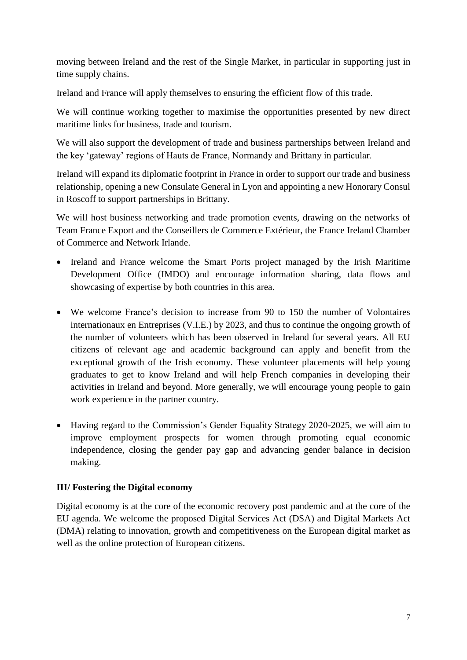moving between Ireland and the rest of the Single Market, in particular in supporting just in time supply chains.

Ireland and France will apply themselves to ensuring the efficient flow of this trade.

We will continue working together to maximise the opportunities presented by new direct maritime links for business, trade and tourism.

We will also support the development of trade and business partnerships between Ireland and the key 'gateway' regions of Hauts de France, Normandy and Brittany in particular.

Ireland will expand its diplomatic footprint in France in order to support our trade and business relationship, opening a new Consulate General in Lyon and appointing a new Honorary Consul in Roscoff to support partnerships in Brittany.

We will host business networking and trade promotion events, drawing on the networks of Team France Export and the Conseillers de Commerce Extérieur, the France Ireland Chamber of Commerce and Network Irlande.

- Ireland and France welcome the Smart Ports project managed by the Irish Maritime Development Office (IMDO) and encourage information sharing, data flows and showcasing of expertise by both countries in this area.
- We welcome France's decision to increase from 90 to 150 the number of Volontaires internationaux en Entreprises (V.I.E.) by 2023, and thus to continue the ongoing growth of the number of volunteers which has been observed in Ireland for several years. All EU citizens of relevant age and academic background can apply and benefit from the exceptional growth of the Irish economy. These volunteer placements will help young graduates to get to know Ireland and will help French companies in developing their activities in Ireland and beyond. More generally, we will encourage young people to gain work experience in the partner country.
- Having regard to the Commission's Gender Equality Strategy 2020-2025, we will aim to improve employment prospects for women through promoting equal economic independence, closing the gender pay gap and advancing gender balance in decision making.

### **III/ Fostering the Digital economy**

Digital economy is at the core of the economic recovery post pandemic and at the core of the EU agenda. We welcome the proposed Digital Services Act (DSA) and Digital Markets Act (DMA) relating to innovation, growth and competitiveness on the European digital market as well as the online protection of European citizens.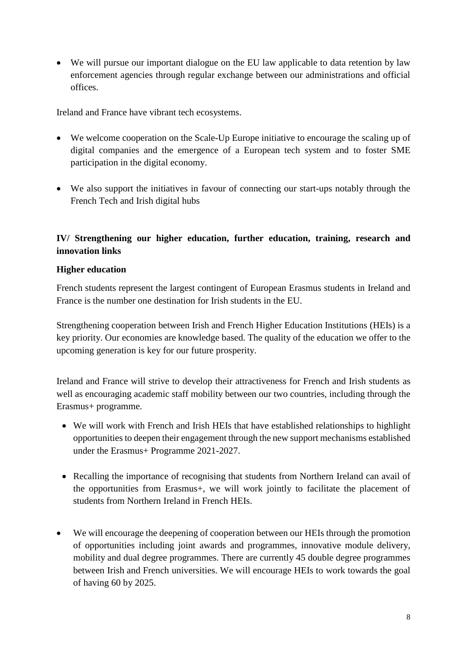We will pursue our important dialogue on the EU law applicable to data retention by law enforcement agencies through regular exchange between our administrations and official offices.

Ireland and France have vibrant tech ecosystems.

- We welcome cooperation on the Scale-Up Europe initiative to encourage the scaling up of digital companies and the emergence of a European tech system and to foster SME participation in the digital economy.
- We also support the initiatives in favour of connecting our start-ups notably through the French Tech and Irish digital hubs

## **IV/ Strengthening our higher education, further education, training, research and innovation links**

### **Higher education**

French students represent the largest contingent of European Erasmus students in Ireland and France is the number one destination for Irish students in the EU.

Strengthening cooperation between Irish and French Higher Education Institutions (HEIs) is a key priority. Our economies are knowledge based. The quality of the education we offer to the upcoming generation is key for our future prosperity.

Ireland and France will strive to develop their attractiveness for French and Irish students as well as encouraging academic staff mobility between our two countries, including through the Erasmus+ programme.

- We will work with French and Irish HEIs that have established relationships to highlight opportunities to deepen their engagement through the new support mechanisms established under the Erasmus+ Programme 2021-2027.
- Recalling the importance of recognising that students from Northern Ireland can avail of the opportunities from Erasmus+, we will work jointly to facilitate the placement of students from Northern Ireland in French HEIs.
- We will encourage the deepening of cooperation between our HEIs through the promotion of opportunities including joint awards and programmes, innovative module delivery, mobility and dual degree programmes. There are currently 45 double degree programmes between Irish and French universities. We will encourage HEIs to work towards the goal of having 60 by 2025.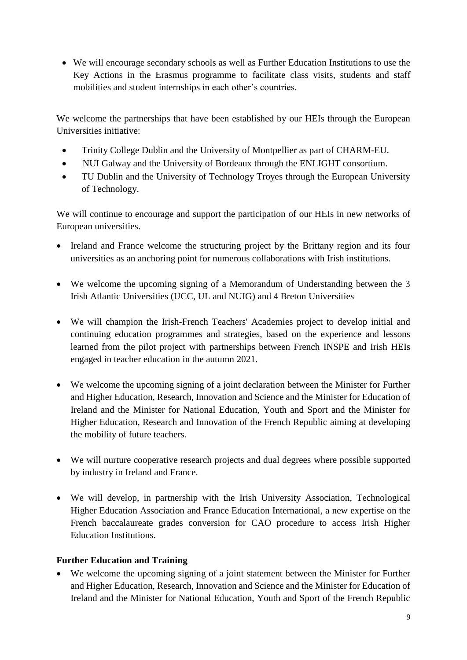We will encourage secondary schools as well as Further Education Institutions to use the Key Actions in the Erasmus programme to facilitate class visits, students and staff mobilities and student internships in each other's countries.

We welcome the partnerships that have been established by our HEIs through the European Universities initiative:

- Trinity College Dublin and the University of Montpellier as part of CHARM-EU.
- NUI Galway and the University of Bordeaux through the ENLIGHT consortium.
- TU Dublin and the University of Technology Troyes through the European University of Technology.

We will continue to encourage and support the participation of our HEIs in new networks of European universities.

- Ireland and France welcome the structuring project by the Brittany region and its four universities as an anchoring point for numerous collaborations with Irish institutions.
- We welcome the upcoming signing of a Memorandum of Understanding between the 3 Irish Atlantic Universities (UCC, UL and NUIG) and 4 Breton Universities
- We will champion the Irish-French Teachers' Academies project to develop initial and continuing education programmes and strategies, based on the experience and lessons learned from the pilot project with partnerships between French INSPE and Irish HEIs engaged in teacher education in the autumn 2021.
- We welcome the upcoming signing of a joint declaration between the Minister for Further and Higher Education, Research, Innovation and Science and the Minister for Education of Ireland and the Minister for National Education, Youth and Sport and the Minister for Higher Education, Research and Innovation of the French Republic aiming at developing the mobility of future teachers.
- We will nurture cooperative research projects and dual degrees where possible supported by industry in Ireland and France.
- We will develop, in partnership with the Irish University Association, Technological Higher Education Association and France Education International, a new expertise on the French baccalaureate grades conversion for CAO procedure to access Irish Higher Education Institutions.

### **Further Education and Training**

 We welcome the upcoming signing of a joint statement between the Minister for Further and Higher Education, Research, Innovation and Science and the Minister for Education of Ireland and the Minister for National Education, Youth and Sport of the French Republic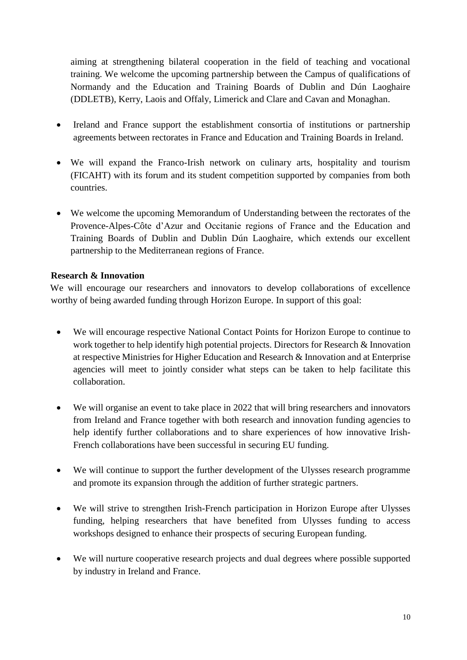aiming at strengthening bilateral cooperation in the field of teaching and vocational training. We welcome the upcoming partnership between the Campus of qualifications of Normandy and the Education and Training Boards of Dublin and Dún Laoghaire (DDLETB), Kerry, Laois and Offaly, Limerick and Clare and Cavan and Monaghan.

- Ireland and France support the establishment consortia of institutions or partnership agreements between rectorates in France and Education and Training Boards in Ireland.
- We will expand the Franco-Irish network on culinary arts, hospitality and tourism (FICAHT) with its forum and its student competition supported by companies from both countries.
- We welcome the upcoming Memorandum of Understanding between the rectorates of the Provence-Alpes-Côte d'Azur and Occitanie regions of France and the Education and Training Boards of Dublin and Dublin Dún Laoghaire, which extends our excellent partnership to the Mediterranean regions of France.

#### **Research & Innovation**

We will encourage our researchers and innovators to develop collaborations of excellence worthy of being awarded funding through Horizon Europe. In support of this goal:

- We will encourage respective National Contact Points for Horizon Europe to continue to work together to help identify high potential projects. Directors for Research & Innovation at respective Ministries for Higher Education and Research & Innovation and at Enterprise agencies will meet to jointly consider what steps can be taken to help facilitate this collaboration.
- We will organise an event to take place in 2022 that will bring researchers and innovators from Ireland and France together with both research and innovation funding agencies to help identify further collaborations and to share experiences of how innovative Irish-French collaborations have been successful in securing EU funding.
- We will continue to support the further development of the Ulysses research programme and promote its expansion through the addition of further strategic partners.
- We will strive to strengthen Irish-French participation in Horizon Europe after Ulysses funding, helping researchers that have benefited from Ulysses funding to access workshops designed to enhance their prospects of securing European funding.
- We will nurture cooperative research projects and dual degrees where possible supported by industry in Ireland and France.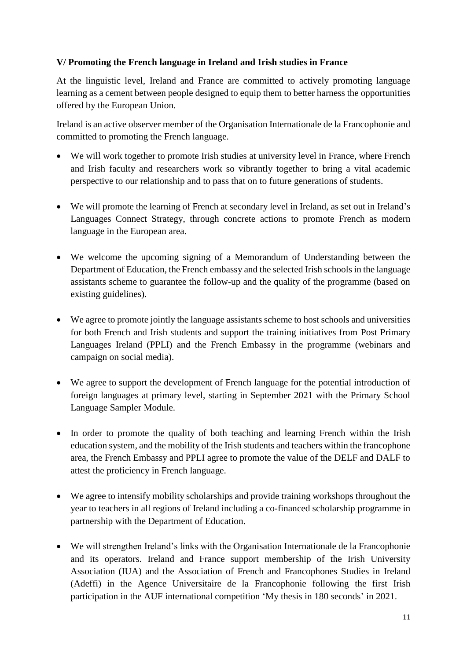### **V/ Promoting the French language in Ireland and Irish studies in France**

At the linguistic level, Ireland and France are committed to actively promoting language learning as a cement between people designed to equip them to better harness the opportunities offered by the European Union.

Ireland is an active observer member of the Organisation Internationale de la Francophonie and committed to promoting the French language.

- We will work together to promote Irish studies at university level in France, where French and Irish faculty and researchers work so vibrantly together to bring a vital academic perspective to our relationship and to pass that on to future generations of students.
- We will promote the learning of French at secondary level in Ireland, as set out in Ireland's Languages Connect Strategy, through concrete actions to promote French as modern language in the European area.
- We welcome the upcoming signing of a Memorandum of Understanding between the Department of Education, the French embassy and the selected Irish schools in the language assistants scheme to guarantee the follow-up and the quality of the programme (based on existing guidelines).
- We agree to promote jointly the language assistants scheme to host schools and universities for both French and Irish students and support the training initiatives from Post Primary Languages Ireland (PPLI) and the French Embassy in the programme (webinars and campaign on social media).
- We agree to support the development of French language for the potential introduction of foreign languages at primary level, starting in September 2021 with the Primary School Language Sampler Module.
- In order to promote the quality of both teaching and learning French within the Irish education system, and the mobility of the Irish students and teachers within the francophone area, the French Embassy and PPLI agree to promote the value of the DELF and DALF to attest the proficiency in French language.
- We agree to intensify mobility scholarships and provide training workshops throughout the year to teachers in all regions of Ireland including a co-financed scholarship programme in partnership with the Department of Education.
- We will strengthen Ireland's links with the Organisation Internationale de la Francophonie and its operators. Ireland and France support membership of the Irish University Association (IUA) and the Association of French and Francophones Studies in Ireland (Adeffi) in the Agence Universitaire de la Francophonie following the first Irish participation in the AUF international competition 'My thesis in 180 seconds' in 2021.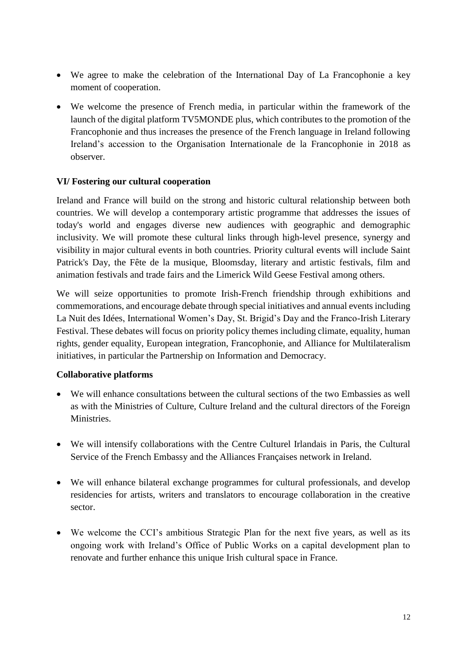- We agree to make the celebration of the International Day of La Francophonie a key moment of cooperation.
- We welcome the presence of French media, in particular within the framework of the launch of the digital platform TV5MONDE plus, which contributes to the promotion of the Francophonie and thus increases the presence of the French language in Ireland following Ireland's accession to the Organisation Internationale de la Francophonie in 2018 as observer.

#### **VI/ Fostering our cultural cooperation**

Ireland and France will build on the strong and historic cultural relationship between both countries. We will develop a contemporary artistic programme that addresses the issues of today's world and engages diverse new audiences with geographic and demographic inclusivity. We will promote these cultural links through high-level presence, synergy and visibility in major cultural events in both countries. Priority cultural events will include Saint Patrick's Day, the Fête de la musique, Bloomsday, literary and artistic festivals, film and animation festivals and trade fairs and the Limerick Wild Geese Festival among others.

We will seize opportunities to promote Irish-French friendship through exhibitions and commemorations, and encourage debate through special initiatives and annual events including La Nuit des Idées, International Women's Day, St. Brigid's Day and the Franco-Irish Literary Festival. These debates will focus on priority policy themes including climate, equality, human rights, gender equality, European integration, Francophonie, and Alliance for Multilateralism initiatives, in particular the Partnership on Information and Democracy.

#### **Collaborative platforms**

- We will enhance consultations between the cultural sections of the two Embassies as well as with the Ministries of Culture, Culture Ireland and the cultural directors of the Foreign Ministries.
- We will intensify collaborations with the Centre Culturel Irlandais in Paris, the Cultural Service of the French Embassy and the Alliances Françaises network in Ireland.
- We will enhance bilateral exchange programmes for cultural professionals, and develop residencies for artists, writers and translators to encourage collaboration in the creative sector.
- We welcome the CCI's ambitious Strategic Plan for the next five years, as well as its ongoing work with Ireland's Office of Public Works on a capital development plan to renovate and further enhance this unique Irish cultural space in France.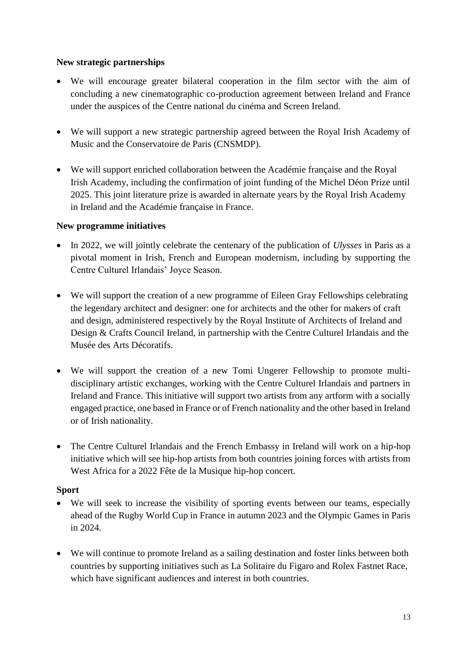### **New strategic partnerships**

- We will encourage greater bilateral cooperation in the film sector with the aim of concluding a new cinematographic co-production agreement between Ireland and France under the auspices of the Centre national du cinéma and Screen Ireland.
- We will support a new strategic partnership agreed between the Royal Irish Academy of Music and the Conservatoire de Paris (CNSMDP).
- We will support enriched collaboration between the Académie française and the Royal Irish Academy, including the confirmation of joint funding of the Michel Déon Prize until 2025. This joint literature prize is awarded in alternate years by the Royal Irish Academy in Ireland and the Académie française in France.

### **New programme initiatives**

- In 2022, we will jointly celebrate the centenary of the publication of *Ulysses* in Paris as a pivotal moment in Irish, French and European modernism, including by supporting the Centre Culturel Irlandais' Joyce Season.
- We will support the creation of a new programme of Eileen Gray Fellowships celebrating the legendary architect and designer: one for architects and the other for makers of craft and design, administered respectively by the Royal Institute of Architects of Ireland and Design & Crafts Council Ireland, in partnership with the Centre Culturel Irlandais and the Musée des Arts Décoratifs.
- We will support the creation of a new Tomi Ungerer Fellowship to promote multidisciplinary artistic exchanges, working with the Centre Culturel Irlandais and partners in Ireland and France. This initiative will support two artists from any artform with a socially engaged practice, one based in France or of French nationality and the other based in Ireland or of Irish nationality.
- The Centre Culturel Irlandais and the French Embassy in Ireland will work on a hip-hop initiative which will see hip-hop artists from both countries joining forces with artists from West Africa for a 2022 Fête de la Musique hip-hop concert.

### **Sport**

- We will seek to increase the visibility of sporting events between our teams, especially ahead of the Rugby World Cup in France in autumn 2023 and the Olympic Games in Paris in 2024.
- We will continue to promote Ireland as a sailing destination and foster links between both countries by supporting initiatives such as La Solitaire du Figaro and Rolex Fastnet Race, which have significant audiences and interest in both countries.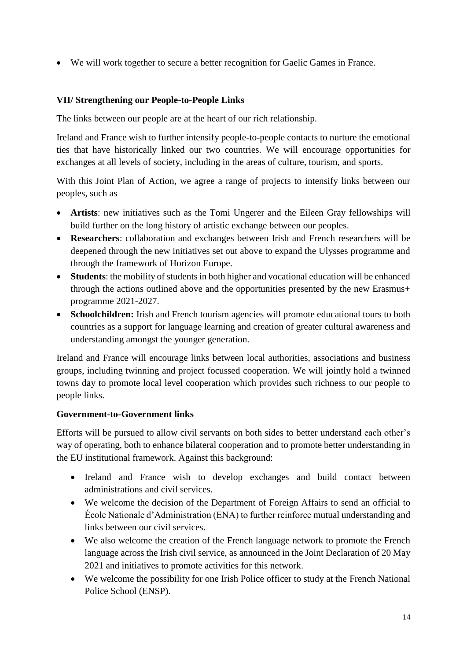We will work together to secure a better recognition for Gaelic Games in France.

### **VII/ Strengthening our People-to-People Links**

The links between our people are at the heart of our rich relationship.

Ireland and France wish to further intensify people-to-people contacts to nurture the emotional ties that have historically linked our two countries. We will encourage opportunities for exchanges at all levels of society, including in the areas of culture, tourism, and sports.

With this Joint Plan of Action, we agree a range of projects to intensify links between our peoples, such as

- **Artists**: new initiatives such as the Tomi Ungerer and the Eileen Gray fellowships will build further on the long history of artistic exchange between our peoples.
- **Researchers**: collaboration and exchanges between Irish and French researchers will be deepened through the new initiatives set out above to expand the Ulysses programme and through the framework of Horizon Europe.
- **Students**: the mobility of students in both higher and vocational education will be enhanced through the actions outlined above and the opportunities presented by the new Erasmus+ programme 2021-2027.
- **Schoolchildren:** Irish and French tourism agencies will promote educational tours to both countries as a support for language learning and creation of greater cultural awareness and understanding amongst the younger generation.

Ireland and France will encourage links between local authorities, associations and business groups, including twinning and project focussed cooperation. We will jointly hold a twinned towns day to promote local level cooperation which provides such richness to our people to people links.

#### **Government-to-Government links**

Efforts will be pursued to allow civil servants on both sides to better understand each other's way of operating, both to enhance bilateral cooperation and to promote better understanding in the EU institutional framework. Against this background:

- Ireland and France wish to develop exchanges and build contact between administrations and civil services.
- We welcome the decision of the Department of Foreign Affairs to send an official to École Nationale d'Administration (ENA) to further reinforce mutual understanding and links between our civil services.
- We also welcome the creation of the French language network to promote the French language across the Irish civil service, as announced in the Joint Declaration of 20 May 2021 and initiatives to promote activities for this network.
- We welcome the possibility for one Irish Police officer to study at the French National Police School (ENSP).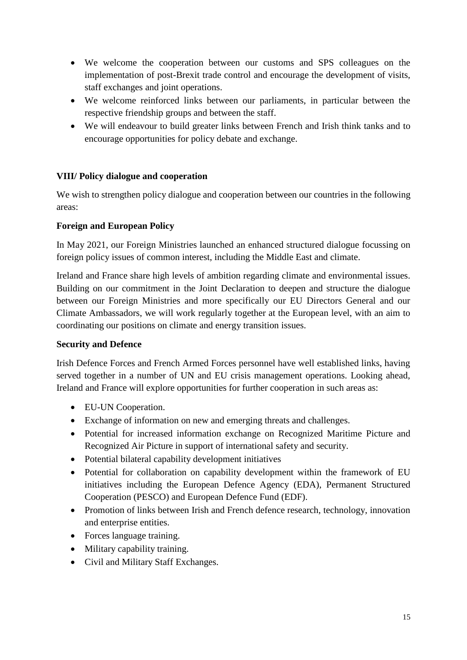- We welcome the cooperation between our customs and SPS colleagues on the implementation of post-Brexit trade control and encourage the development of visits, staff exchanges and joint operations.
- We welcome reinforced links between our parliaments, in particular between the respective friendship groups and between the staff.
- We will endeavour to build greater links between French and Irish think tanks and to encourage opportunities for policy debate and exchange.

### **VIII/ Policy dialogue and cooperation**

We wish to strengthen policy dialogue and cooperation between our countries in the following areas:

#### **Foreign and European Policy**

In May 2021, our Foreign Ministries launched an enhanced structured dialogue focussing on foreign policy issues of common interest, including the Middle East and climate.

Ireland and France share high levels of ambition regarding climate and environmental issues. Building on our commitment in the Joint Declaration to deepen and structure the dialogue between our Foreign Ministries and more specifically our EU Directors General and our Climate Ambassadors, we will work regularly together at the European level, with an aim to coordinating our positions on climate and energy transition issues.

#### **Security and Defence**

Irish Defence Forces and French Armed Forces personnel have well established links, having served together in a number of UN and EU crisis management operations. Looking ahead, Ireland and France will explore opportunities for further cooperation in such areas as:

- EU-UN Cooperation.
- Exchange of information on new and emerging threats and challenges.
- Potential for increased information exchange on Recognized Maritime Picture and Recognized Air Picture in support of international safety and security.
- Potential bilateral capability development initiatives
- Potential for collaboration on capability development within the framework of EU initiatives including the European Defence Agency (EDA), Permanent Structured Cooperation (PESCO) and European Defence Fund (EDF).
- Promotion of links between Irish and French defence research, technology, innovation and enterprise entities.
- Forces language training.
- Military capability training.
- Civil and Military Staff Exchanges.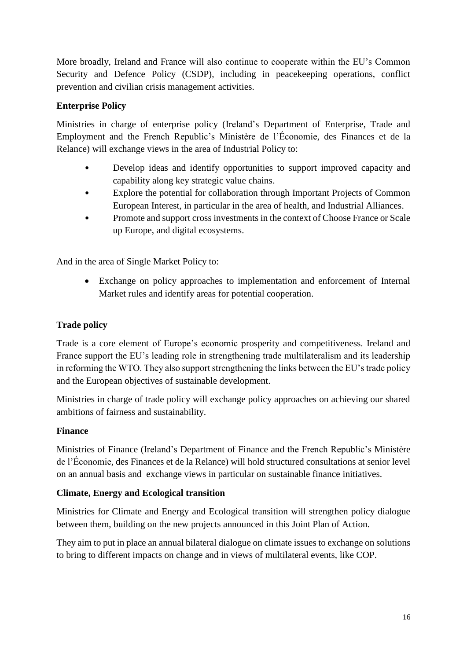More broadly, Ireland and France will also continue to cooperate within the EU's Common Security and Defence Policy (CSDP), including in peacekeeping operations, conflict prevention and civilian crisis management activities.

### **Enterprise Policy**

Ministries in charge of enterprise policy (Ireland's Department of Enterprise, Trade and Employment and the French Republic's Ministère de l'Économie, des Finances et de la Relance) will exchange views in the area of Industrial Policy to:

- Develop ideas and identify opportunities to support improved capacity and capability along key strategic value chains.
- Explore the potential for collaboration through Important Projects of Common European Interest, in particular in the area of health, and Industrial Alliances.
- Promote and support cross investments in the context of Choose France or Scale up Europe, and digital ecosystems.

And in the area of Single Market Policy to:

 Exchange on policy approaches to implementation and enforcement of Internal Market rules and identify areas for potential cooperation.

## **Trade policy**

Trade is a core element of Europe's economic prosperity and competitiveness. Ireland and France support the EU's leading role in strengthening trade multilateralism and its leadership in reforming the WTO. They also support strengthening the links between the EU's trade policy and the European objectives of sustainable development.

Ministries in charge of trade policy will exchange policy approaches on achieving our shared ambitions of fairness and sustainability.

### **Finance**

Ministries of Finance (Ireland's Department of Finance and the French Republic's Ministère de l'Économie, des Finances et de la Relance) will hold structured consultations at senior level on an annual basis and exchange views in particular on sustainable finance initiatives.

### **Climate, Energy and Ecological transition**

Ministries for Climate and Energy and Ecological transition will strengthen policy dialogue between them, building on the new projects announced in this Joint Plan of Action.

They aim to put in place an annual bilateral dialogue on climate issues to exchange on solutions to bring to different impacts on change and in views of multilateral events, like COP.